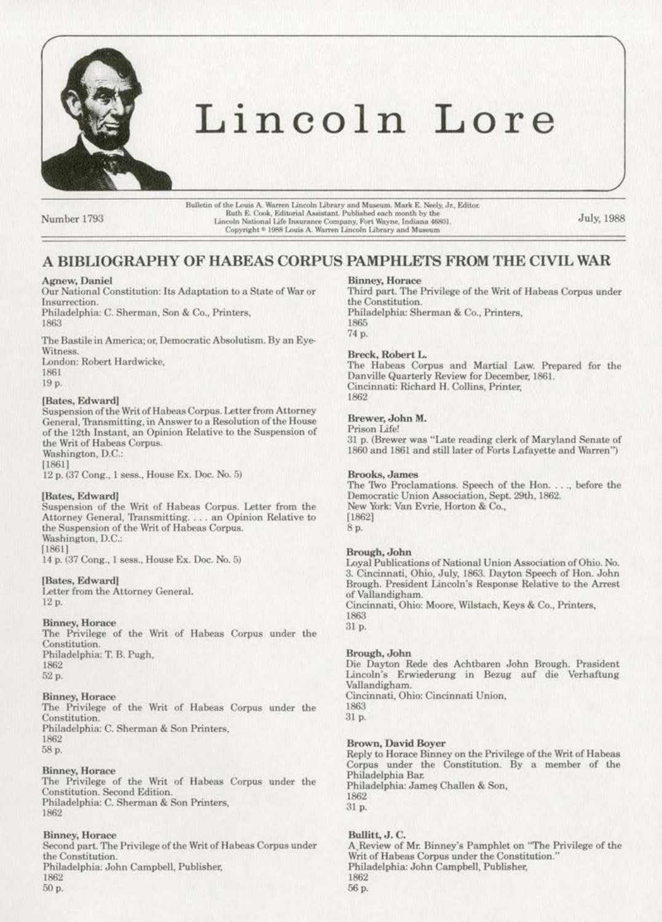

# Lincoln Lore

Number 1793

Bulletin of the Louis A. Warren Lincoln Library and Museum. Mark E. Neely, Jr., Editor.<br>Ruth E. Cook, Editorial Assistant. Published each month by the Lincoln National Life Insurance Company, Fort Wayne, Indiana 46801. Copyright <sup>®</sup> 1988 Louis A. Warren Lincoln Library and Museum

July, 1988

# A BIBLIOGRAPHY OF HABEAS CORPUS PAMPHLETS FROM THE CIVIL WAR

# Agnew, Daniel

Our National Constitution: Its Adaptation to a State of War or Insurrection.

Philadelphia: C. Sherman, Son & Co., Printers, 1863

The Bastile in America; or, Democratic Absolutism. By an Eye-Witness.

London: Robert Hardwicke,

1861

# 19 p.

# [Bates, Edward]

Suspension of the Writ of Habeas Corpus. Letter from Attorney General, Transmitting, in Answer to a Resolution of the House of the 12th Instant, an Opinion Relative to the Suspension of the Writ of Habeas Corpus. Washington, D.C.:  $[1861]$ 

12 p. (37 Cong., 1 sess., House Ex. Doc. No. 5)

# [Bates, Edward]

Suspension of the Writ of Habeas Corpus. Letter from the Attorney General, Transmitting. . . . an Opinion Relative to the Suspension of the Writ of Habeas Corpus. Washington, D.C.:  $[1861]$ 

14 p. (37 Cong., 1 sess., House Ex. Doc. No. 5)

### [Bates, Edward]

Letter from the Attorney General. 12 p.

# **Binney, Horace**

The Privilege of the Writ of Habeas Corpus under the Constitution. Philadelphia: T. B. Pugh, 1862 52 p.

# Binney, Horace

The Privilege of the Writ of Habeas Corpus under the Constitution. Philadelphia: C. Sherman & Son Printers, 1862 58 p.

# **Binney, Horace**

The Privilege of the Writ of Habeas Corpus under the Constitution. Second Edition. Philadelphia: C. Sherman & Son Printers, 1862

# **Binney**, Horace

Second part. The Privilege of the Writ of Habeas Corpus under the Constitution. Philadelphia: John Campbell, Publisher, 1862 50 p.

#### **Binney, Horace**

Third part. The Privilege of the Writ of Habeas Corpus under the Constitution. Philadelphia: Sherman & Co., Printers, 1865 74 p.

# Breck, Robert L.

The Habeas Corpus and Martial Law. Prepared for the Danville Quarterly Review for December, 1861. Cincinnati: Richard H. Collins, Printer, 1862

# Brewer, John M.

Prison Life! 31 p. (Brewer was "Late reading clerk of Maryland Senate of 1860 and 1861 and still later of Forts Lafayette and Warren")

#### **Brooks**, James

The Two Proclamations. Speech of the Hon. ..., before the Democratic Union Association, Sept. 29th, 1862. New York: Van Evrie, Horton & Co.,  $[1862]$ 8 p.

# Brough, John

Loyal Publications of National Union Association of Ohio. No. 3. Cincinnati, Ohio, July, 1863. Dayton Speech of Hon. John Brough. President Lincoln's Response Relative to the Arrest of Vallandigham. Cincinnati, Ohio: Moore, Wilstach, Keys & Co., Printers, 1863

31 p.

# Brough, John

Die Dayton Rede des Achtbaren John Brough. Prasident Lincoln's Erwiederung in Bezug auf die Verhaftung Vallandigham. Cincinnati, Ohio: Cincinnati Union, 1863 31 p.

# Brown, David Boyer

Reply to Horace Binney on the Privilege of the Writ of Habeas Corpus under the Constitution. By a member of the Philadelphia Bar. Philadelphia: James Challen & Son, 1862 31 p.

# Bullitt, J.C.

A Review of Mr. Binney's Pamphlet on "The Privilege of the Writ of Habeas Corpus under the Constitution." Philadelphia: John Campbell, Publisher, 1862 56 p.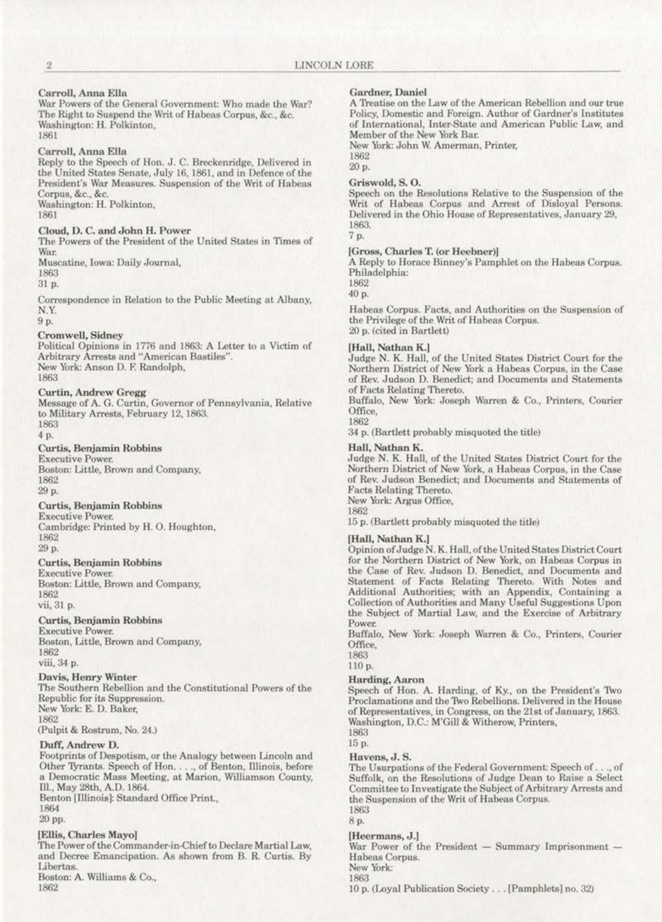# Carroll, Anna Ella

War Powers of the General Government: Who made the War? The Right to Suspend the Writ of Habeas Corpus, &e., &c. Washington: H. Polkinton, 1861

#### Carroll, Anna Ella

Reply to the Speech of Hon. J. C. Breckenridge, Delivered in the United States Senate, July 16, 1861, and in Defence of the President's War Measures. Suspension of the Writ of Habeas Corpus, &c., &c. Washington: H. Polkinton,

1861

# Cloud, D. C. and John H. Power

The Powers of the President of the United States in Times of **War.** 

Muscatine, Iowa: Daily Journal,

1863

31 p.

Correspondence in Relation to the Public Meeting at Albany, N.Y.

9p.

# **Cromwell, Sidney**

Political Opinions in 1776 and 1863: A Letter to a Victim of Arbitrary Arrests and "American Bastiles".<br>New York: Anson D. F. Randolph, 1863

# Curtin, Andrew Gregg

Message of A. G. Curtin, Governor of Pennsylvania, Relative to Military Arrests, February 12, 1863. 1863

4 p.

### **Curtis, Benjamin Robbins**

**Executive Power.** Boston: Little, Brown and Company, 1862 29p.

# Curtis, Benjamin Robbins

**Executive Power.**  Cambridge: Printed by H. 0. Houghton, 1862 29p.

#### **Curtis. Benjamin Robbins**

**Executive Power. Boston: Litt1c, Brown and Company,**  1862  $vii$ , 31 **p.** 

# Curtis, Benjamin Robbins

**Executive Power. Boston, Uttle, Brown and Company,**  1862

**viii,34 p.** 

# Davis, Henry Winter

The Southern Rebellion and the Constitutional Powers of the Republic for its Suppression. New York: E. D. Baker,

1862

# (Pulpit & Rostrum, No. 24.)

# Duff, Andrew D.

Footprints of Despotism, or the Analogy between Lincoln and Other 'JYrants. Speech of Hon .... , of Benton, lllinois, before **a Democratic Mass Meeting, at Marion, WlJiiamson County.**  Ill., May 28th, A.D. 1864. Benton [111inois): Standard Office PrinL,

1864 20pp.

# [Ellis, Charles Mayo]

The Power of the Commander•in·Chiefto Declare Martial Law, and Decree Emancipation. As shown from B. R Curtis. By Libertas. Boston: A. Williams & Co., 1862

# Gardner, Oaniel

A Treatise on the Law of the American Rebellion and our true **Policy, Domestic and Foreign. Author of Gardner's Institutes**  of International, Inter-State and American Public Law, and Member of the New York Bar.

**New York: John W. Amerman, Printer,** 

1862 20p.

#### Griswold, S. 0.

Speech on the Resolutions Relative to the Suspension of the Writ of Babeas Corpus and Arrest of Disloyal Persons. **Delivered in the Ohio House of Representatives, January 29.**  1863.

# 7 p.

# [Gross, Charles T. (or Heebner)]

A Reply to Horace Binney's Pamphlet on the Habeas Corpus. Philadelphia:

1862 40 p.

**Habeas Corpus. Facts, and Authorities on the Suspension of**  the Privilege of the Writ of Habeas Corpus. 20 p. (cited in Bartlett)

#### (Hall. Nathan K.J

Judge N. K. Hall, of the United Stetes District Court for the Northern District of New York a Habeas Corpus, in the Case **of Rev. Judson D. Benedict; and Documents and Statements**  of Facts Relating Thereto.

Buffalo, New York: Joseph Warren & Co., Printers, Courier Office, 1862

34 p. (Bartlett probably misquoted the title)

# Hall, Nathan K.

Judge N. K. Hall, of the United States District Court for the Northern District of New York, a Habeas Corpus, in the Case of Rev. Judson Benedict; and Documents and Statements of Pacts Relating Thereto. New York: Argus Office,

1862

15 p. (Bartlett probably misquoted the title)

#### [Hall, Nathan K.]

Opinion of Judge N. K. Hall, ofthe United States District Court **for the Northern District of New York, on Habeas Corpus in**  the Case of Rev. Judson D. Benedict, and Documents and Statement of Facts Relating Thereto. With Notes and Additional Authorities; with an Appendix, Containing a Collection of Authorities and Many Useful Suggestions Upon the Subject of Martial Law, and the Exercise of Arbitrary Power.

Buffalo, New York: Joseph Warren & Co., Printers. Courier Office,

1863 110 p.

# Harding, Aaron

Speech of Hon. A. Harding, of Ky., on the President's Two Proclamations and the Two Rebellions. Delivered in the House of Representatives, in Congress, on the 21st of January, 1863. Washington, D.C.: M'Gill & Witherow, Printers,

1863 15p.

# Havens, J. S.

The Usurpations of the Federal Government: Speech of . . ., of Suffolk, on the Resolutions of Judge Dean to Raise a Select Committee to Investigate the Subject of Arbitrary Arrests and the Suspension of the Writ of Habeas Corpus. 1863

8p.

# [Heermans, J.J

War Power of the President - Summary Imprisonment -Habeas Corpus.

New York: 1863

10 p. (Loyal Publication Society . . . [Pamphlets] no. 32)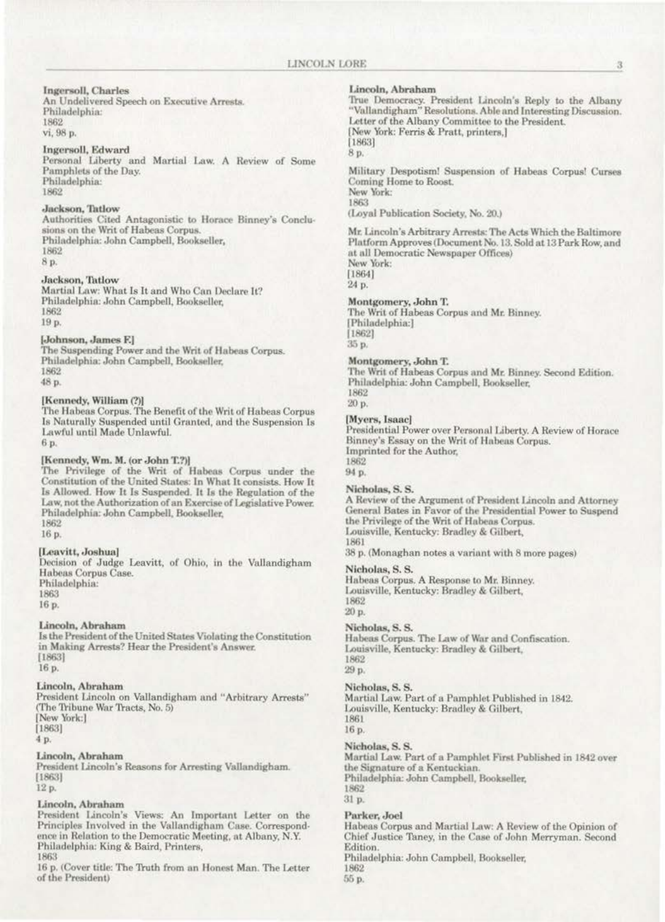# **Ingersoll**, Charles

An Undelivered Speech on Executive Arrests. Philadelphia: 1862 vi, 98 p.

# Ingersoll, Edward

Personal Liberty and Martial Law. A Review of Some Pamphlets of the Day. Philadelphia: 1862

# Jackson, Tatlow

Authorities Cited Antagonistic to Horace Binney's Conclusions on the Writ of Habeas Corpus. Philadelphia: John Campbell, Bookseller, 1862 8 p.

# Jackson, Tatlow

Martial Law: What Is It and Who Can Declare It? Philadelphia: John Campbell, Bookseller, 1862 19 p.

# [Johnson, James F.]

The Suspending Power and the Writ of Habeas Corpus. Philadelphia: John Campbell, Bookseller, 1862 48 p.

[Kennedy, William (?)]<br>The Habeas Corpus. The Benefit of the Writ of Habeas Corpus Is Naturally Suspended until Granted, and the Suspension Is Lawful until Made Unlawful. 6.p.

# [Kennedy, Wm. M. (or John T.?)]

The Privilege of the Writ of Habeas Corpus under the Constitution of the United States: In What It consists. How It Is Allowed. How It Is Suspended. It Is the Regulation of the Law, not the Authorization of an Exercise of Legislative Power. Philadelphia: John Campbell, Bookseller, 1862

16 p.

# [Leavitt, Joshua]

Decision of Judge Leavitt, of Ohio, in the Vallandigham Habeas Corpus Case. Philadelphia: 1863

16 p.

# Lincoln, Abraham

Is the President of the United States Violating the Constitution in Making Arrests? Hear the President's Answer.  $[1863]$ 16 p.

# Lincoln, Abraham

President Lincoln on Vallandigham and "Arbitrary Arrests" (The Tribune War Tracts, No. 5) New York:]  $[1863]$ 4 p.

# Lincoln, Abraham

President Lincoln's Reasons for Arresting Vallandigham.  $[1863]$ 

# 12 p.

# Lincoln, Abraham

President Lincoln's Views: An Important Letter on the Principles Involved in the Vallandigham Case. Correspondence in Relation to the Democratic Meeting, at Albany, N.Y. Philadelphia: King & Baird, Printers, 1863

16 p. (Cover title: The Truth from an Honest Man. The Letter of the President)

### Lincoln, Abraham

True Democracy. President Lincoln's Reply to the Albany<br>"Vallandigham" Resolutions. Able and Interesting Discussion. Letter of the Albany Committee to the President. New York: Ferris & Pratt, printers,] [1863] 8 p.

Military Despotism! Suspension of Habeas Corpus! Curses Coming Home to Roost. New York: 1863 (Loyal Publication Society, No. 20.)

Mr. Lincoln's Arbitrary Arrests: The Acts Which the Baltimore Platform Approves (Document No. 13, Sold at 13 Park Row, and at all Democratic Newspaper Offices) New York:  $[1864]$ 

24 p.

#### Montgomery, John T.

The Writ of Habeas Corpus and Mr. Binney. [Philadelphia:]  $[1862]$ 35 p.

# Montgomery, John T.

The Writ of Habeas Corpus and Mr. Binney. Second Edition. Philadelphia: John Campbell, Bookseller, 1862

20 р.

#### [Myers, Isaac]

Presidential Power over Personal Liberty. A Review of Horace Binney's Essay on the Writ of Habeas Corpus. Imprinted for the Author.

1862 94 p.

#### Nicholas, S.S.

A Review of the Argument of President Lincoln and Attorney General Bates in Favor of the Presidential Power to Suspend the Privilege of the Writ of Habeas Corpus. Louisville, Kentucky: Bradley & Gilbert, 1861

38 p. (Monaghan notes a variant with 8 more pages)

#### Nicholas, S. S.

Habeas Corpus. A Response to Mr. Binney. Louisville, Kentucky: Bradley & Gilbert, 1862 20 p.

# Nicholas, S. S.

Habeas Corpus. The Law of War and Confiscation. Louisville, Kentucky: Bradley & Gilbert, 1862

29 p.

# Nicholas, S. S.

Martial Law. Part of a Pamphlet Published in 1842. Louisville, Kentucky: Bradley & Gilbert, 1861 16 p.

# Nicholas, S. S.

Martial Law. Part of a Pamphlet First Published in 1842 over the Signature of a Kentuckian. Philadelphia: John Campbell, Bookseller, 1862 31 p.

#### Parker, Joel

Habeas Corpus and Martial Law: A Review of the Opinion of Chief Justice Taney, in the Case of John Merryman. Second Edition. Philadelphia: John Campbell, Bookseller, 1862